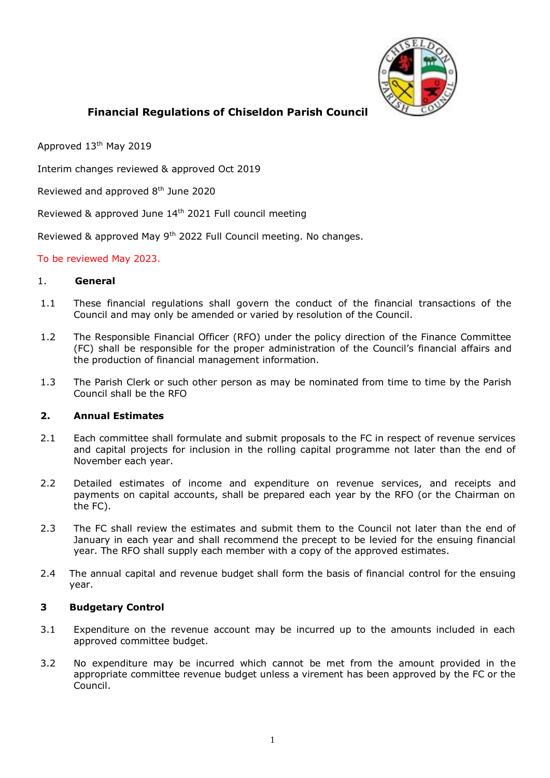

# **Financial Regulations of Chiseldon Parish Council**

Approved 13th May 2019

Interim changes reviewed & approved Oct 2019

Reviewed and approved 8<sup>th</sup> June 2020

Reviewed & approved June 14<sup>th</sup> 2021 Full council meeting

Reviewed & approved May 9<sup>th</sup> 2022 Full Council meeting. No changes.

### To be reviewed May 2023.

#### 1. **General**

- 1.1 These financial regulations shall govern the conduct of the financial transactions of the Council and may only be amended or varied by resolution of the Council.
- 1.2 The Responsible Financial Officer (RFO) under the policy direction of the Finance Committee (FC) shall be responsible for the proper administration of the Council's financial affairs and the production of financial management information.
- 1.3 The Parish Clerk or such other person as may be nominated from time to time by the Parish Council shall be the RFO

#### **2. Annual Estimates**

- 2.1 Each committee shall formulate and submit proposals to the FC in respect of revenue services and capital projects for inclusion in the rolling capital programme not later than the end of November each year.
- 2.2 Detailed estimates of income and expenditure on revenue services, and receipts and payments on capital accounts, shall be prepared each year by the RFO (or the Chairman on the FC).
- 2.3 The FC shall review the estimates and submit them to the Council not later than the end of January in each year and shall recommend the precept to be levied for the ensuing financial year. The RFO shall supply each member with a copy of the approved estimates.
- 2.4 The annual capital and revenue budget shall form the basis of financial control for the ensuing year.

## **3 Budgetary Control**

- 3.1 Expenditure on the revenue account may be incurred up to the amounts included in each approved committee budget.
- 3.2 No expenditure may be incurred which cannot be met from the amount provided in the appropriate committee revenue budget unless a virement has been approved by the FC or the Council.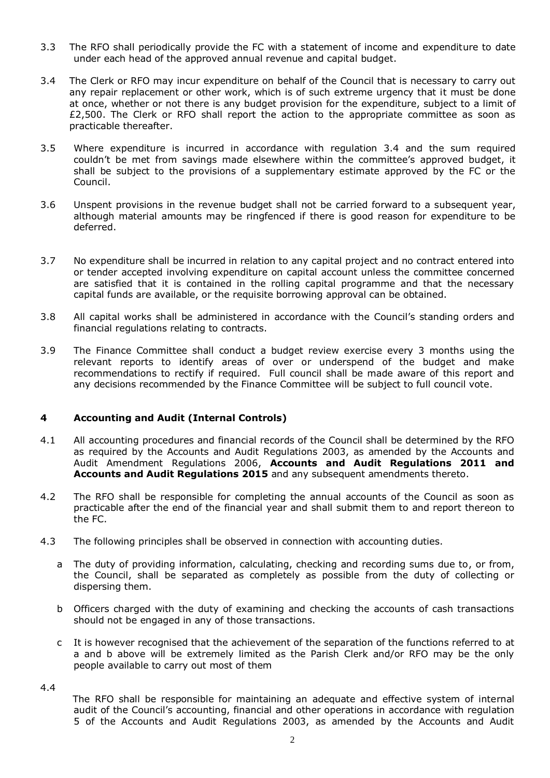- 3.3 The RFO shall periodically provide the FC with a statement of income and expenditure to date under each head of the approved annual revenue and capital budget.
- 3.4 The Clerk or RFO may incur expenditure on behalf of the Council that is necessary to carry out any repair replacement or other work, which is of such extreme urgency that it must be done at once, whether or not there is any budget provision for the expenditure, subject to a limit of £2,500. The Clerk or RFO shall report the action to the appropriate committee as soon as practicable thereafter.
- 3.5 Where expenditure is incurred in accordance with regulation 3.4 and the sum required couldn't be met from savings made elsewhere within the committee's approved budget, it shall be subject to the provisions of a supplementary estimate approved by the FC or the Council.
- 3.6 Unspent provisions in the revenue budget shall not be carried forward to a subsequent year, although material amounts may be ringfenced if there is good reason for expenditure to be deferred.
- 3.7 No expenditure shall be incurred in relation to any capital project and no contract entered into or tender accepted involving expenditure on capital account unless the committee concerned are satisfied that it is contained in the rolling capital programme and that the necessary capital funds are available, or the requisite borrowing approval can be obtained.
- 3.8 All capital works shall be administered in accordance with the Council's standing orders and financial regulations relating to contracts.
- 3.9 The Finance Committee shall conduct a budget review exercise every 3 months using the relevant reports to identify areas of over or underspend of the budget and make recommendations to rectify if required. Full council shall be made aware of this report and any decisions recommended by the Finance Committee will be subject to full council vote.

## **4 Accounting and Audit (Internal Controls)**

- 4.1 All accounting procedures and financial records of the Council shall be determined by the RFO as required by the Accounts and Audit Regulations 2003, as amended by the Accounts and Audit Amendment Regulations 2006, **Accounts and Audit Regulations 2011 and Accounts and Audit Regulations 2015** and any subsequent amendments thereto.
- 4.2 The RFO shall be responsible for completing the annual accounts of the Council as soon as practicable after the end of the financial year and shall submit them to and report thereon to the FC.
- 4.3 The following principles shall be observed in connection with accounting duties.
	- a The duty of providing information, calculating, checking and recording sums due to, or from, the Council, shall be separated as completely as possible from the duty of collecting or dispersing them.
	- b Officers charged with the duty of examining and checking the accounts of cash transactions should not be engaged in any of those transactions.
	- c It is however recognised that the achievement of the separation of the functions referred to at a and b above will be extremely limited as the Parish Clerk and/or RFO may be the only people available to carry out most of them

4.4

The RFO shall be responsible for maintaining an adequate and effective system of internal audit of the Council's accounting, financial and other operations in accordance with regulation 5 of the Accounts and Audit Regulations 2003, as amended by the Accounts and Audit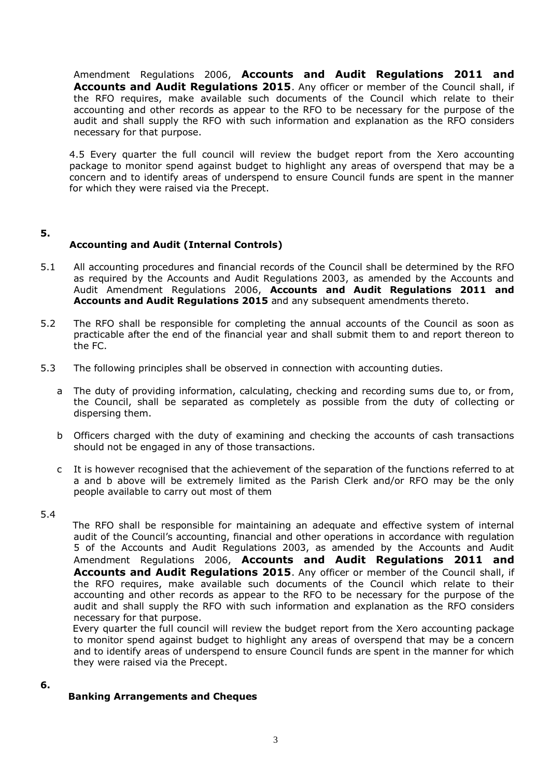Amendment Regulations 2006, **Accounts and Audit Regulations 2011 and Accounts and Audit Regulations 2015**. Any officer or member of the Council shall, if the RFO requires, make available such documents of the Council which relate to their accounting and other records as appear to the RFO to be necessary for the purpose of the audit and shall supply the RFO with such information and explanation as the RFO considers necessary for that purpose.

4.5 Every quarter the full council will review the budget report from the Xero accounting package to monitor spend against budget to highlight any areas of overspend that may be a concern and to identify areas of underspend to ensure Council funds are spent in the manner for which they were raised via the Precept.

### **5.**

## **Accounting and Audit (Internal Controls)**

- 5.1 All accounting procedures and financial records of the Council shall be determined by the RFO as required by the Accounts and Audit Regulations 2003, as amended by the Accounts and Audit Amendment Regulations 2006, **Accounts and Audit Regulations 2011 and Accounts and Audit Regulations 2015** and any subsequent amendments thereto.
- 5.2 The RFO shall be responsible for completing the annual accounts of the Council as soon as practicable after the end of the financial year and shall submit them to and report thereon to the FC.
- 5.3 The following principles shall be observed in connection with accounting duties.
	- a The duty of providing information, calculating, checking and recording sums due to, or from, the Council, shall be separated as completely as possible from the duty of collecting or dispersing them.
	- b Officers charged with the duty of examining and checking the accounts of cash transactions should not be engaged in any of those transactions.
	- c It is however recognised that the achievement of the separation of the functions referred to at a and b above will be extremely limited as the Parish Clerk and/or RFO may be the only people available to carry out most of them

#### 5.4

The RFO shall be responsible for maintaining an adequate and effective system of internal audit of the Council's accounting, financial and other operations in accordance with regulation 5 of the Accounts and Audit Regulations 2003, as amended by the Accounts and Audit Amendment Regulations 2006, **Accounts and Audit Regulations 2011 and Accounts and Audit Regulations 2015**. Any officer or member of the Council shall, if the RFO requires, make available such documents of the Council which relate to their accounting and other records as appear to the RFO to be necessary for the purpose of the audit and shall supply the RFO with such information and explanation as the RFO considers necessary for that purpose.

Every quarter the full council will review the budget report from the Xero accounting package to monitor spend against budget to highlight any areas of overspend that may be a concern and to identify areas of underspend to ensure Council funds are spent in the manner for which they were raised via the Precept.

#### **6.**

## **Banking Arrangements and Cheques**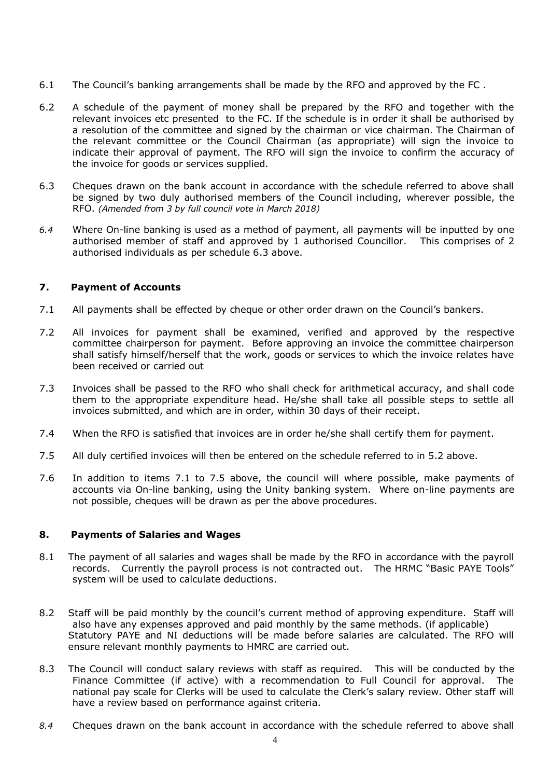- 6.1 The Council's banking arrangements shall be made by the RFO and approved by the FC .
- 6.2 A schedule of the payment of money shall be prepared by the RFO and together with the relevant invoices etc presented to the FC. If the schedule is in order it shall be authorised by a resolution of the committee and signed by the chairman or vice chairman. The Chairman of the relevant committee or the Council Chairman (as appropriate) will sign the invoice to indicate their approval of payment. The RFO will sign the invoice to confirm the accuracy of the invoice for goods or services supplied.
- 6.3 Cheques drawn on the bank account in accordance with the schedule referred to above shall be signed by two duly authorised members of the Council including, wherever possible, the RFO. *(Amended from 3 by full council vote in March 2018)*
- *6.4* Where On-line banking is used as a method of payment, all payments will be inputted by one authorised member of staff and approved by 1 authorised Councillor. This comprises of 2 authorised individuals as per schedule 6.3 above.

#### **7. Payment of Accounts**

- 7.1 All payments shall be effected by cheque or other order drawn on the Council's bankers.
- 7.2 All invoices for payment shall be examined, verified and approved by the respective committee chairperson for payment. Before approving an invoice the committee chairperson shall satisfy himself/herself that the work, goods or services to which the invoice relates have been received or carried out
- 7.3 Invoices shall be passed to the RFO who shall check for arithmetical accuracy, and shall code them to the appropriate expenditure head. He/she shall take all possible steps to settle all invoices submitted, and which are in order, within 30 days of their receipt.
- 7.4 When the RFO is satisfied that invoices are in order he/she shall certify them for payment.
- 7.5 All duly certified invoices will then be entered on the schedule referred to in 5.2 above.
- 7.6 In addition to items 7.1 to 7.5 above, the council will where possible, make payments of accounts via On-line banking, using the Unity banking system. Where on-line payments are not possible, cheques will be drawn as per the above procedures.

## **8. Payments of Salaries and Wages**

- 8.1 The payment of all salaries and wages shall be made by the RFO in accordance with the payroll records. Currently the payroll process is not contracted out. The HRMC "Basic PAYE Tools" system will be used to calculate deductions.
- 8.2 Staff will be paid monthly by the council's current method of approving expenditure. Staff will also have any expenses approved and paid monthly by the same methods. (if applicable) Statutory PAYE and NI deductions will be made before salaries are calculated. The RFO will ensure relevant monthly payments to HMRC are carried out.
- 8.3 The Council will conduct salary reviews with staff as required. This will be conducted by the Finance Committee (if active) with a recommendation to Full Council for approval. The national pay scale for Clerks will be used to calculate the Clerk's salary review. Other staff will have a review based on performance against criteria.
- *8.4* Cheques drawn on the bank account in accordance with the schedule referred to above shall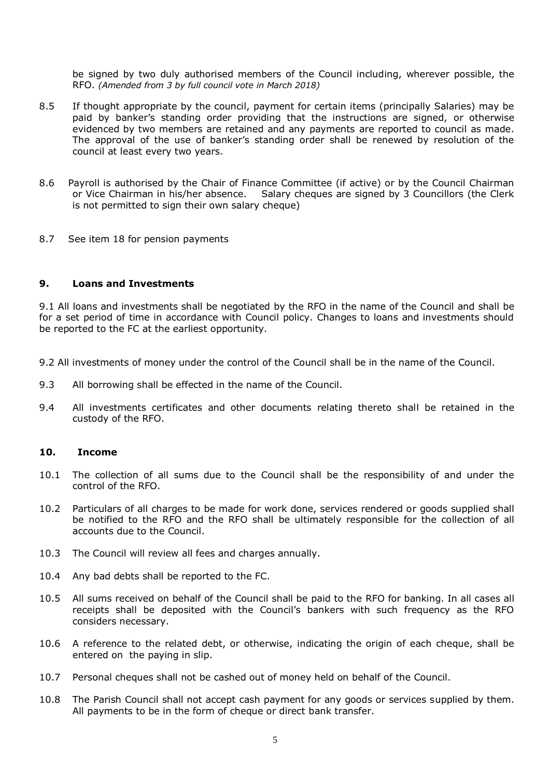be signed by two duly authorised members of the Council including, wherever possible, the RFO. *(Amended from 3 by full council vote in March 2018)*

- 8.5 If thought appropriate by the council, payment for certain items (principally Salaries) may be paid by banker's standing order providing that the instructions are signed, or otherwise evidenced by two members are retained and any payments are reported to council as made. The approval of the use of banker's standing order shall be renewed by resolution of the council at least every two years.
- 8.6 Payroll is authorised by the Chair of Finance Committee (if active) or by the Council Chairman or Vice Chairman in his/her absence. Salary cheques are signed by 3 Councillors (the Clerk is not permitted to sign their own salary cheque)
- 8.7 See item 18 for pension payments

#### **9. Loans and Investments**

9.1 All loans and investments shall be negotiated by the RFO in the name of the Council and shall be for a set period of time in accordance with Council policy. Changes to loans and investments should be reported to the FC at the earliest opportunity.

- 9.2 All investments of money under the control of the Council shall be in the name of the Council.
- 9.3 All borrowing shall be effected in the name of the Council.
- 9.4 All investments certificates and other documents relating thereto shall be retained in the custody of the RFO.

#### **10. Income**

- 10.1 The collection of all sums due to the Council shall be the responsibility of and under the control of the RFO.
- 10.2 Particulars of all charges to be made for work done, services rendered or goods supplied shall be notified to the RFO and the RFO shall be ultimately responsible for the collection of all accounts due to the Council.
- 10.3 The Council will review all fees and charges annually.
- 10.4 Any bad debts shall be reported to the FC.
- 10.5 All sums received on behalf of the Council shall be paid to the RFO for banking. In all cases all receipts shall be deposited with the Council's bankers with such frequency as the RFO considers necessary.
- 10.6 A reference to the related debt, or otherwise, indicating the origin of each cheque, shall be entered on the paying in slip.
- 10.7 Personal cheques shall not be cashed out of money held on behalf of the Council.
- 10.8 The Parish Council shall not accept cash payment for any goods or services supplied by them. All payments to be in the form of cheque or direct bank transfer.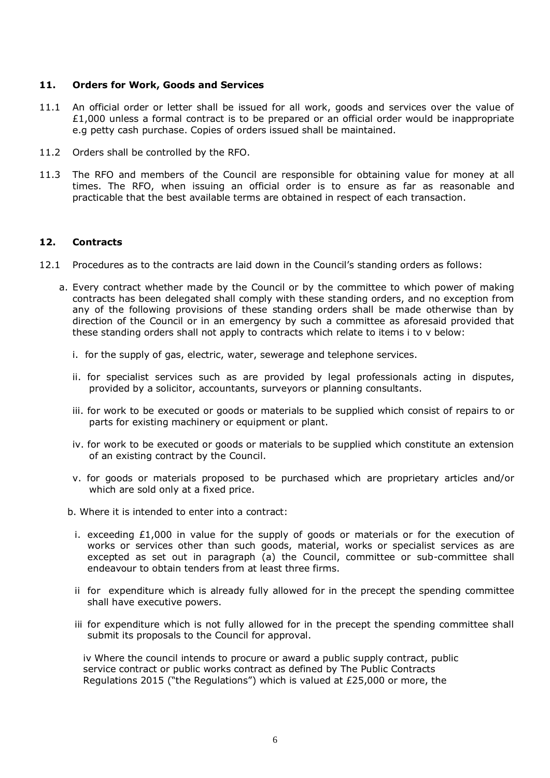#### **11. Orders for Work, Goods and Services**

- 11.1 An official order or letter shall be issued for all work, goods and services over the value of  $£1,000$  unless a formal contract is to be prepared or an official order would be inappropriate e.g petty cash purchase. Copies of orders issued shall be maintained.
- 11.2 Orders shall be controlled by the RFO.
- 11.3 The RFO and members of the Council are responsible for obtaining value for money at all times. The RFO, when issuing an official order is to ensure as far as reasonable and practicable that the best available terms are obtained in respect of each transaction.

### **12. Contracts**

- 12.1 Procedures as to the contracts are laid down in the Council's standing orders as follows:
	- a. Every contract whether made by the Council or by the committee to which power of making contracts has been delegated shall comply with these standing orders, and no exception from any of the following provisions of these standing orders shall be made otherwise than by direction of the Council or in an emergency by such a committee as aforesaid provided that these standing orders shall not apply to contracts which relate to items i to v below:
		- i. for the supply of gas, electric, water, sewerage and telephone services.
		- ii. for specialist services such as are provided by legal professionals acting in disputes, provided by a solicitor, accountants, surveyors or planning consultants.
		- iii. for work to be executed or goods or materials to be supplied which consist of repairs to or parts for existing machinery or equipment or plant.
		- iv. for work to be executed or goods or materials to be supplied which constitute an extension of an existing contract by the Council.
		- v. for goods or materials proposed to be purchased which are proprietary articles and/or which are sold only at a fixed price.
		- b. Where it is intended to enter into a contract:
			- i. exceeding £1,000 in value for the supply of goods or materials or for the execution of works or services other than such goods, material, works or specialist services as are excepted as set out in paragraph (a) the Council, committee or sub-committee shall endeavour to obtain tenders from at least three firms.
			- ii for expenditure which is already fully allowed for in the precept the spending committee shall have executive powers.
			- iii for expenditure which is not fully allowed for in the precept the spending committee shall submit its proposals to the Council for approval.

iv Where the council intends to procure or award a public supply contract, public service contract or public works contract as defined by The Public Contracts Regulations 2015 ("the Regulations") which is valued at £25,000 or more, the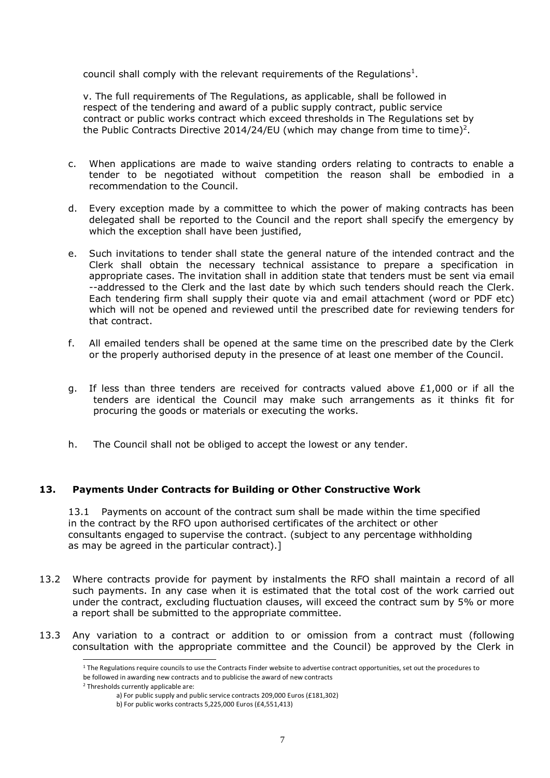council shall comply with the relevant requirements of the Regulations<sup>1</sup>.

v. The full requirements of The Regulations, as applicable, shall be followed in respect of the tendering and award of a public supply contract, public service contract or public works contract which exceed thresholds in The Regulations set by the Public Contracts Directive 2014/24/EU (which may change from time to time)<sup>2</sup>.

- c. When applications are made to waive standing orders relating to contracts to enable a tender to be negotiated without competition the reason shall be embodied in a recommendation to the Council.
- d. Every exception made by a committee to which the power of making contracts has been delegated shall be reported to the Council and the report shall specify the emergency by which the exception shall have been justified,
- e. Such invitations to tender shall state the general nature of the intended contract and the Clerk shall obtain the necessary technical assistance to prepare a specification in appropriate cases. The invitation shall in addition state that tenders must be sent via email --addressed to the Clerk and the last date by which such tenders should reach the Clerk. Each tendering firm shall supply their quote via and email attachment (word or PDF etc) which will not be opened and reviewed until the prescribed date for reviewing tenders for that contract.
- f. All emailed tenders shall be opened at the same time on the prescribed date by the Clerk or the properly authorised deputy in the presence of at least one member of the Council.
- g. If less than three tenders are received for contracts valued above £1,000 or if all the tenders are identical the Council may make such arrangements as it thinks fit for procuring the goods or materials or executing the works.
- h. The Council shall not be obliged to accept the lowest or any tender.

## **13. Payments Under Contracts for Building or Other Constructive Work**

13.1 Payments on account of the contract sum shall be made within the time specified in the contract by the RFO upon authorised certificates of the architect or other consultants engaged to supervise the contract. (subject to any percentage withholding as may be agreed in the particular contract).]

- 13.2 Where contracts provide for payment by instalments the RFO shall maintain a record of all such payments. In any case when it is estimated that the total cost of the work carried out under the contract, excluding fluctuation clauses, will exceed the contract sum by 5% or more a report shall be submitted to the appropriate committee.
- 13.3 Any variation to a contract or addition to or omission from a contract must (following consultation with the appropriate committee and the Council) be approved by the Clerk in

<sup>&</sup>lt;sup>1</sup> The Regulations require councils to use the Contracts Finder website to advertise contract opportunities, set out the procedures to

be followed in awarding new contracts and to publicise the award of new contracts

<sup>2</sup> Thresholds currently applicable are:

a) For public supply and public service contracts 209,000 Euros (£181,302)

b) For public works contracts 5,225,000 Euros (£4,551,413)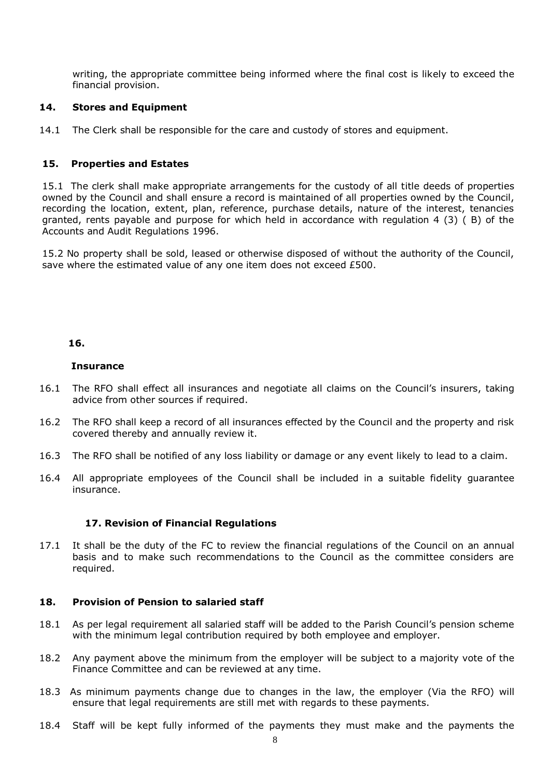writing, the appropriate committee being informed where the final cost is likely to exceed the financial provision.

#### **14. Stores and Equipment**

14.1 The Clerk shall be responsible for the care and custody of stores and equipment.

### **15. Properties and Estates**

15.1 The clerk shall make appropriate arrangements for the custody of all title deeds of properties owned by the Council and shall ensure a record is maintained of all properties owned by the Council, recording the location, extent, plan, reference, purchase details, nature of the interest, tenancies granted, rents payable and purpose for which held in accordance with regulation 4 (3) ( B) of the Accounts and Audit Regulations 1996.

15.2 No property shall be sold, leased or otherwise disposed of without the authority of the Council, save where the estimated value of any one item does not exceed £500.

#### **16.**

#### **Insurance**

- 16.1 The RFO shall effect all insurances and negotiate all claims on the Council's insurers, taking advice from other sources if required.
- 16.2 The RFO shall keep a record of all insurances effected by the Council and the property and risk covered thereby and annually review it.
- 16.3 The RFO shall be notified of any loss liability or damage or any event likely to lead to a claim.
- 16.4 All appropriate employees of the Council shall be included in a suitable fidelity guarantee insurance.

#### **17. Revision of Financial Regulations**

17.1 It shall be the duty of the FC to review the financial regulations of the Council on an annual basis and to make such recommendations to the Council as the committee considers are required.

#### **18. Provision of Pension to salaried staff**

- 18.1 As per legal requirement all salaried staff will be added to the Parish Council's pension scheme with the minimum legal contribution required by both employee and employer.
- 18.2 Any payment above the minimum from the employer will be subject to a majority vote of the Finance Committee and can be reviewed at any time.
- 18.3 As minimum payments change due to changes in the law, the employer (Via the RFO) will ensure that legal requirements are still met with regards to these payments.
- 18.4 Staff will be kept fully informed of the payments they must make and the payments the